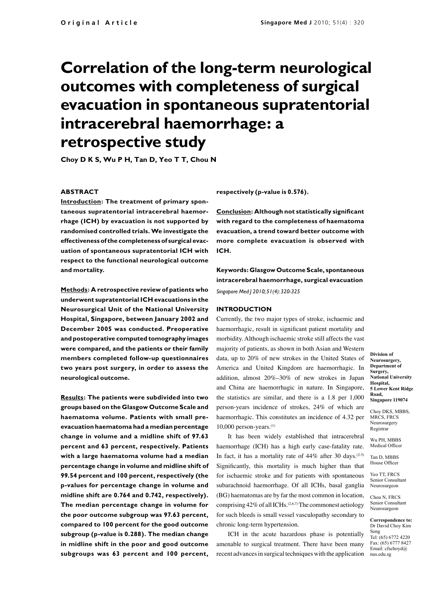# **Correlation of the long-term neurological outcomes with completeness of surgical evacuation in spontaneous supratentorial intracerebral haemorrhage: a retrospective study**

**Choy D K S, Wu P H, Tan D, Yeo T T, Chou N**

## **ABSTRACT**

**Introduction: The treatment of primary spontaneous supratentorial intracerebral haemorrhage (ICH) by evacuation is not supported by randomised controlled trials. We investigate the effectiveness of the completeness of surgical evacuation of spontaneous supratentorial ICH with respect to the functional neurological outcome and mortality.**

**Methods: A retrospective review of patients who underwent supratentorial ICH evacuations in the Neurosurgical Unit of the National University Hospital, Singapore, between January 2002 and December 2005 was conducted. Preoperative and postoperative computed tomography images were compared, and the patients or their family members completed follow-up questionnaires two years post surgery, in order to assess the neurological outcome.** 

**Results: The patients were subdivided into two groups based on the Glasgow Outcome Scale and haematoma volume. Patients with small preevacuation haematoma had a median percentage change in volume and a midline shift of 97.63 percent and 63 percent, respectively. Patients with a large haematoma volume had a median percentage change in volume and midline shift of 99.54 percent and 100 percent, respectively (the p-values for percentage change in volume and midline shift are 0.764 and 0.742, respectively). The median percentage change in volume for the poor outcome subgroup was 97.63 percent, compared to 100 percent for the good outcome subgroup (p-value is 0.288). The median change in midline shift in the poor and good outcome subgroups was 63 percent and 100 percent,** 

**respectively (p-value is 0.576).** 

**Conclusion: Although not statistically significant with regard to the completeness of haematoma evacuation, a trend toward better outcome with more complete evacuation is observed with ICH.** 

**Keywords: Glasgow Outcome Scale, spontaneous intracerebral haemorrhage, surgical evacuation**  *Singapore Med J 2010; 51(4): 320-325*

### **INTRODUCTION**

Currently, the two major types of stroke, ischaemic and haemorrhagic, result in significant patient mortality and morbidity. Although ischaemic stroke still affects the vast majority of patients, as shown in both Asian and Western data, up to 20% of new strokes in the United States of America and United Kingdom are haemorrhagic. In addition, almost 20%–30% of new strokes in Japan and China are haemorrhagic in nature. In Singapore, the statistics are similar, and there is a 1.8 per 1,000 person-years incidence of strokes, 24% of which are haemorrhagic. This constitutes an incidence of 4.32 per  $10,000$  person-years.<sup>(1)</sup>

It has been widely established that intracerebral haemorrhage (ICH) has a high early case-fatality rate. In fact, it has a mortality rate of  $44\%$  after 30 days.<sup>(2-5)</sup> Significantly, this mortality is much higher than that for ischaemic stroke and for patients with spontaneous subarachnoid haemorrhage. Of all ICHs, basal ganglia (BG) haematomas are by far the most common in location, comprising  $42\%$  of all ICHs.<sup>(2,6,7)</sup> The commonest aetiology for such bleeds is small vessel vasculopathy secondary to chronic long-term hypertension.

ICH in the acute hazardous phase is potentially amenable to surgical treatment. There have been many recent advances in surgical techniques with the application

**Division of Neurosurgery, Department of Surgery, National University Hospital, 5 Lower Kent Ridge Road, Singapore 119074**

Choy DKS, MBBS, MRCS, FRCS Neurosurgery Registrar

Wu PH, MBBS Medical Officer

Tan D, MBBS House Officer

Yeo TT, FRCS Senior Consultant Neurosurgeon

Chou N, FRCS Senior Consultant Neurosurgeon

**Correspondence to:** Dr David Choy Kim Seng Tel: (65) 6772 4220 Fax: (65) 6777 8427 Email: cfschoyd@

nus.edu.sg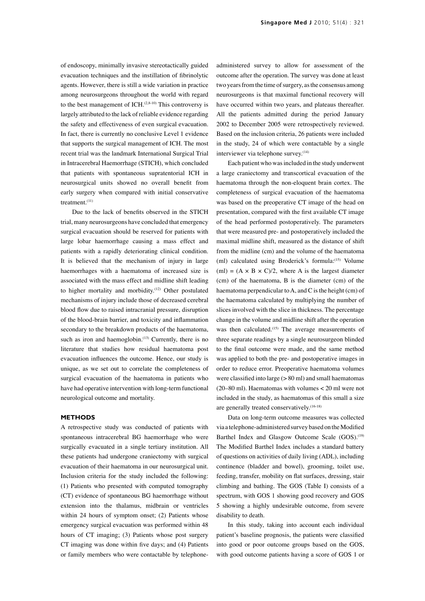of endoscopy, minimally invasive stereotactically guided evacuation techniques and the instillation of fibrinolytic agents. However, there is still a wide variation in practice among neurosurgeons throughout the world with regard to the best management of ICH. $(2,8-10)$  This controversy is largely attributed to the lack of reliable evidence regarding the safety and effectiveness of even surgical evacuation. In fact, there is currently no conclusive Level 1 evidence that supports the surgical management of ICH. The most recent trial was the landmark International Surgical Trial in Intracerebral Haemorrhage (STICH), which concluded that patients with spontaneous supratentorial ICH in neurosurgical units showed no overall benefit from early surgery when compared with initial conservative treatment.(11)

Due to the lack of benefits observed in the STICH trial, many neurosurgeons have concluded that emergency surgical evacuation should be reserved for patients with large lobar haemorrhage causing a mass effect and patients with a rapidly deteriorating clinical condition. It is believed that the mechanism of injury in large haemorrhages with a haematoma of increased size is associated with the mass effect and midline shift leading to higher mortality and morbidity.<sup>(12)</sup> Other postulated mechanisms of injury include those of decreased cerebral blood flow due to raised intracranial pressure, disruption of the blood-brain barrier, and toxicity and inflammation secondary to the breakdown products of the haematoma, such as iron and haemoglobin.<sup>(13)</sup> Currently, there is no literature that studies how residual haematoma post evacuation influences the outcome. Hence, our study is unique, as we set out to correlate the completeness of surgical evacuation of the haematoma in patients who have had operative intervention with long-term functional neurological outcome and mortality.

#### **METHODS**

A retrospective study was conducted of patients with spontaneous intracerebral BG haemorrhage who were surgically evacuated in a single tertiary institution. All these patients had undergone craniectomy with surgical evacuation of their haematoma in our neurosurgical unit. Inclusion criteria for the study included the following: (1) Patients who presented with computed tomography (CT) evidence of spontaneous BG haemorrhage without extension into the thalamus, midbrain or ventricles within 24 hours of symptom onset; (2) Patients whose emergency surgical evacuation was performed within 48 hours of CT imaging; (3) Patients whose post surgery CT imaging was done within five days; and (4) Patients or family members who were contactable by telephoneadministered survey to allow for assessment of the outcome after the operation. The survey was done at least two years from the time of surgery, as the consensus among neurosurgeons is that maximal functional recovery will have occurred within two years, and plateaus thereafter. All the patients admitted during the period January 2002 to December 2005 were retrospectively reviewed. Based on the inclusion criteria, 26 patients were included in the study, 24 of which were contactable by a single interviewer via telephone survey.<sup>(14)</sup>

Each patient who was included in the study underwent a large craniectomy and transcortical evacuation of the haematoma through the non-eloquent brain cortex. The completeness of surgical evacuation of the haematoma was based on the preoperative CT image of the head on presentation, compared with the first available CT image of the head performed postoperatively. The parameters that were measured pre- and postoperatively included the maximal midline shift, measured as the distance of shift from the midline (cm) and the volume of the haematoma (ml) calculated using Broderick's formula:(15) Volume (ml) =  $(A \times B \times C)/2$ , where A is the largest diameter (cm) of the haematoma, B is the diameter (cm) of the haematoma perpendicular to A, and C is the height (cm) of the haematoma calculated by multiplying the number of slices involved with the slice in thickness. The percentage change in the volume and midline shift after the operation was then calculated.<sup>(15)</sup> The average measurements of three separate readings by a single neurosurgeon blinded to the final outcome were made, and the same method was applied to both the pre- and postoperative images in order to reduce error. Preoperative haematoma volumes were classified into large (> 80 ml) and small haematomas (20–80 ml). Haematomas with volumes < 20 ml were not included in the study, as haematomas of this small a size are generally treated conservatively.(16-18)

Data on long-term outcome measures was collected via a telephone-administered survey based on the Modified Barthel Index and Glasgow Outcome Scale (GOS).<sup>(19)</sup> The Modified Barthel Index includes a standard battery of questions on activities of daily living (ADL), including continence (bladder and bowel), grooming, toilet use, feeding, transfer, mobility on flat surfaces, dressing, stair climbing and bathing. The GOS (Table I) consists of a spectrum, with GOS 1 showing good recovery and GOS 5 showing a highly undesirable outcome, from severe disability to death.

In this study, taking into account each individual patient's baseline prognosis, the patients were classified into good or poor outcome groups based on the GOS, with good outcome patients having a score of GOS 1 or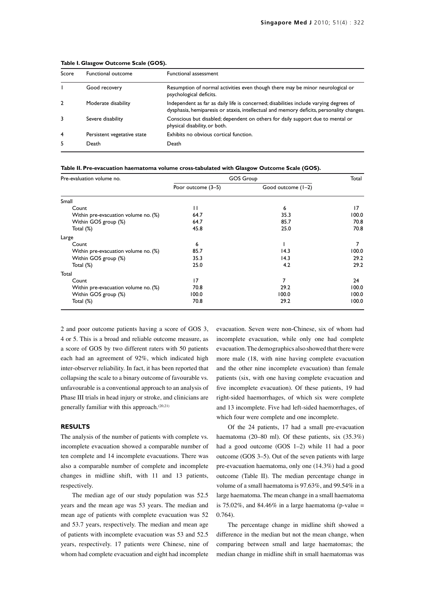| Score          | Functional outcome          | <b>Functional assessment</b>                                                                                                                                                       |
|----------------|-----------------------------|------------------------------------------------------------------------------------------------------------------------------------------------------------------------------------|
|                | Good recovery               | Resumption of normal activities even though there may be minor neurological or<br>psychological deficits.                                                                          |
| 2              | Moderate disability         | Independent as far as daily life is concerned; disabilities include varying degrees of<br>dysphasia, hemiparesis or ataxia, intellectual and memory deficits, personality changes. |
|                | Severe disability           | Conscious but disabled; dependent on others for daily support due to mental or<br>physical disability, or both.                                                                    |
| $\overline{4}$ | Persistent vegetative state | Exhibits no obvious cortical function.                                                                                                                                             |
|                | Death                       | Death                                                                                                                                                                              |

#### **Table I. Glasgow Outcome Scale (GOS).**

#### **Table II. Pre-evacuation haematoma volume cross-tabulated with Glasgow Outcome Scale (GOS).**

| Pre-evaluation volume no.            | <b>GOS Group</b>   | Total              |       |
|--------------------------------------|--------------------|--------------------|-------|
|                                      | Poor outcome (3-5) | Good outcome (1-2) |       |
| Small                                |                    |                    |       |
| Count                                | П                  | 6                  | 17    |
| Within pre-evacuation volume no. (%) | 64.7               | 35.3               | 100.0 |
| Within GOS group (%)                 | 64.7               | 85.7               | 70.8  |
| Total (%)                            | 45.8               | 25.0               | 70.8  |
| Large                                |                    |                    |       |
| Count                                | 6                  |                    | 7     |
| Within pre-evacuation volume no. (%) | 85.7               | 14.3               | 100.0 |
| Within GOS group (%)                 | 35.3               | 14.3               | 29.2  |
| Total (%)                            | 25.0               | 4.2                | 29.2  |
| Total                                |                    |                    |       |
| Count                                | 17                 | 7                  | 24    |
| Within pre-evacuation volume no. (%) | 70.8               | 29.2               | 100.0 |
| Within GOS group (%)                 | 100.0              | 100.0              | 100.0 |
| Total (%)                            | 70.8               | 29.2               | 100.0 |

2 and poor outcome patients having a score of GOS 3, 4 or 5. This is a broad and reliable outcome measure, as a score of GOS by two different raters with 50 patients each had an agreement of 92%, which indicated high inter-observer reliability. In fact, it has been reported that collapsing the scale to a binary outcome of favourable vs. unfavourable is a conventional approach to an analysis of Phase III trials in head injury or stroke, and clinicians are generally familiar with this approach.<sup>(20,21)</sup>

### **RESULTS**

The analysis of the number of patients with complete vs. incomplete evacuation showed a comparable number of ten complete and 14 incomplete evacuations. There was also a comparable number of complete and incomplete changes in midline shift, with 11 and 13 patients, respectively.

The median age of our study population was 52.5 years and the mean age was 53 years. The median and mean age of patients with complete evacuation was 52 and 53.7 years, respectively. The median and mean age of patients with incomplete evacuation was 53 and 52.5 years, respectively. 17 patients were Chinese, nine of whom had complete evacuation and eight had incomplete

evacuation. Seven were non-Chinese, six of whom had incomplete evacuation, while only one had complete evacuation. The demographics also showed that there were more male (18, with nine having complete evacuation and the other nine incomplete evacuation) than female patients (six, with one having complete evacuation and five incomplete evacuation). Of these patients, 19 had right-sided haemorrhages, of which six were complete and 13 incomplete. Five had left-sided haemorrhages, of which four were complete and one incomplete.

Of the 24 patients, 17 had a small pre-evacuation haematoma (20–80 ml). Of these patients, six (35.3%) had a good outcome (GOS 1–2) while 11 had a poor outcome (GOS 3–5). Out of the seven patients with large pre-evacuation haematoma, only one (14.3%) had a good outcome (Table II). The median percentage change in volume of a small haematoma is 97.63%, and 99.54% in a large haematoma. The mean change in a small haematoma is 75.02%, and 84.46% in a large haematoma (p-value  $=$ 0.764).

The percentage change in midline shift showed a difference in the median but not the mean change, when comparing between small and large haematomas; the median change in midline shift in small haematomas was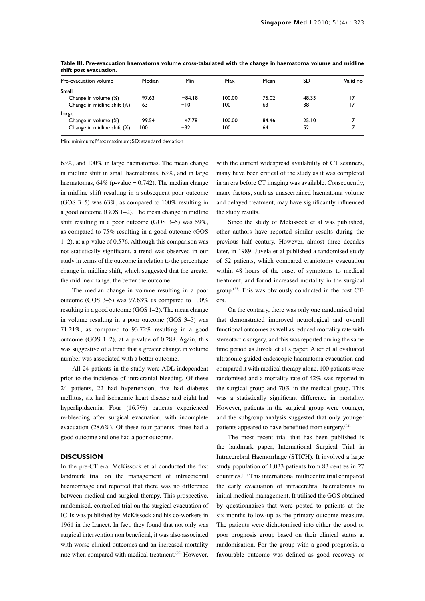| Pre-evacuation volume       | Median | Min      | Max    | Mean  | SD    | Valid no. |
|-----------------------------|--------|----------|--------|-------|-------|-----------|
| Small                       |        |          |        |       |       |           |
| Change in volume (%)        | 97.63  | $-84.18$ | 100.00 | 75.02 | 48.33 | 17        |
| Change in midline shift (%) | 63     | $-10$    | 100    | 63    | 38    | 17        |
| Large                       |        |          |        |       |       |           |
| Change in volume (%)        | 99.54  | 47.78    | 100.00 | 84.46 | 25.10 |           |
| Change in midline shift (%) | 100    | $-32$    | 100    | 64    | 52    |           |
|                             |        |          |        |       |       |           |

**Table III. Pre-evacuation haematoma volume cross-tabulated with the change in haematoma volume and midline shift post evacuation.**

Min: minimum; Max: maximum; SD:standard deviation

63%, and 100% in large haematomas. The mean change in midline shift in small haematomas, 63%, and in large haematomas,  $64\%$  (p-value = 0.742). The median change in midline shift resulting in a subsequent poor outcome (GOS 3–5) was 63%, as compared to 100% resulting in a good outcome (GOS 1–2). The mean change in midline shift resulting in a poor outcome (GOS 3–5) was 59%, as compared to 75% resulting in a good outcome (GOS 1–2), at a p-value of 0.576. Although this comparison was not statistically significant, a trend was observed in our study in terms of the outcome in relation to the percentage change in midline shift, which suggested that the greater the midline change, the better the outcome.

The median change in volume resulting in a poor outcome (GOS 3–5) was 97.63% as compared to 100% resulting in a good outcome (GOS 1–2). The mean change in volume resulting in a poor outcome (GOS 3–5) was 71.21%, as compared to 93.72% resulting in a good outcome (GOS 1–2), at a p-value of 0.288. Again, this was suggestive of a trend that a greater change in volume number was associated with a better outcome.

All 24 patients in the study were ADL-independent prior to the incidence of intracranial bleeding. Of these 24 patients, 22 had hypertension, five had diabetes mellitus, six had ischaemic heart disease and eight had hyperlipidaemia. Four (16.7%) patients experienced re-bleeding after surgical evacuation, with incomplete evacuation (28.6%). Of these four patients, three had a good outcome and one had a poor outcome.

## **DISCUSSION**

In the pre-CT era, McKissock et al conducted the first landmark trial on the management of intracerebral haemorrhage and reported that there was no difference between medical and surgical therapy. This prospective, randomised, controlled trial on the surgical evacuation of ICHs was published by McKissock and his co-workers in 1961 in the Lancet. In fact, they found that not only was surgical intervention non beneficial, it was also associated with worse clinical outcomes and an increased mortality rate when compared with medical treatment.<sup>(22)</sup> However,

with the current widespread availability of CT scanners, many have been critical of the study as it was completed in an era before CT imaging was available. Consequently, many factors, such as unascertained haematoma volume and delayed treatment, may have significantly influenced the study results.

Since the study of Mckissock et al was published, other authors have reported similar results during the previous half century. However, almost three decades later, in 1989, Juvela et al published a randomised study of 52 patients, which compared craniotomy evacuation within 48 hours of the onset of symptoms to medical treatment, and found increased mortality in the surgical group.<sup> $(23)$ </sup> This was obviously conducted in the post CTera.

On the contrary, there was only one randomised trial that demonstrated improved neurological and overall functional outcomes as well as reduced mortality rate with stereotactic surgery, and this was reported during the same time period as Juvela et al's paper. Auer et al evaluated ultrasonic-guided endoscopic haematoma evacuation and compared it with medical therapy alone. 100 patients were randomised and a mortality rate of 42% was reported in the surgical group and 70% in the medical group. This was a statistically significant difference in mortality. However, patients in the surgical group were younger, and the subgroup analysis suggested that only younger patients appeared to have benefitted from surgery.<sup>(24)</sup>

The most recent trial that has been published is the landmark paper, International Surgical Trial in Intracerebral Haemorrhage (STICH). It involved a large study population of 1,033 patients from 83 centres in 27 countries.(11) This international multicentre trial compared the early evacuation of intracerebral haematomas to initial medical management. It utilised the GOS obtained by questionnaires that were posted to patients at the six months follow-up as the primary outcome measure. The patients were dichotomised into either the good or poor prognosis group based on their clinical status at randomisation. For the group with a good prognosis, a favourable outcome was defined as good recovery or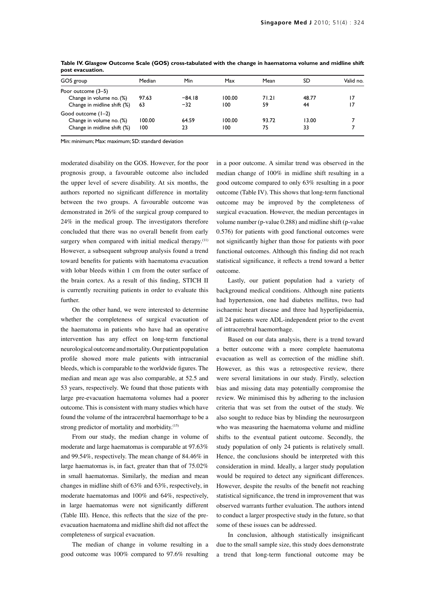| GOS group                   | Median | Min      | Max    | Mean  | SD    | Valid no. |
|-----------------------------|--------|----------|--------|-------|-------|-----------|
| Poor outcome (3–5)          |        |          |        |       |       |           |
| Change in volume no. (%)    | 97.63  | $-84.18$ | 100.00 | 71.21 | 48.77 | 17        |
| Change in midline shift (%) | 63     | $-32$    | 100    | 59    | 44    | 17        |
| Good outcome (1–2)          |        |          |        |       |       |           |
| Change in volume no. (%)    | 100.00 | 64.59    | 100.00 | 93.72 | 13.00 |           |
| Change in midline shift (%) | 100    | 23       | 100    | 75    | 33    |           |

**Table IV. Glasgow Outcome Scale (GOS) cross-tabulated with the change in haematoma volume and midline shift post evacuation.**

Min: minimum; Max: maximum; SD; standard deviation

moderated disability on the GOS. However, for the poor prognosis group, a favourable outcome also included the upper level of severe disability. At six months, the authors reported no significant difference in mortality between the two groups. A favourable outcome was demonstrated in 26% of the surgical group compared to 24% in the medical group. The investigators therefore concluded that there was no overall benefit from early surgery when compared with initial medical therapy.<sup>(11)</sup> However, a subsequent subgroup analysis found a trend toward benefits for patients with haematoma evacuation with lobar bleeds within 1 cm from the outer surface of the brain cortex. As a result of this finding, STICH II is currently recruiting patients in order to evaluate this further.

On the other hand, we were interested to determine whether the completeness of surgical evacuation of the haematoma in patients who have had an operative intervention has any effect on long-term functional neurological outcome and mortality. Our patient population profile showed more male patients with intracranial bleeds, which is comparable to the worldwide figures. The median and mean age was also comparable, at 52.5 and 53 years, respectively. We found that those patients with large pre-evacuation haematoma volumes had a poorer outcome. This is consistent with many studies which have found the volume of the intracerebral haemorrhage to be a strong predictor of mortality and morbidity.<sup>(15)</sup>

From our study, the median change in volume of moderate and large haematomas is comparable at 97.63% and 99.54%, respectively. The mean change of 84.46% in large haematomas is, in fact, greater than that of 75.02% in small haematomas. Similarly, the median and mean changes in midline shift of 63% and 63%, respectively, in moderate haematomas and 100% and 64%, respectively, in large haematomas were not significantly different (Table III). Hence, this reflects that the size of the preevacuation haematoma and midline shift did not affect the completeness of surgical evacuation.

The median of change in volume resulting in a good outcome was 100% compared to 97.6% resulting

in a poor outcome. A similar trend was observed in the median change of 100% in midline shift resulting in a good outcome compared to only 63% resulting in a poor outcome (Table IV). This shows that long-term functional outcome may be improved by the completeness of surgical evacuation. However, the median percentages in volume number (p-value 0.288) and midline shift (p-value 0.576) for patients with good functional outcomes were not significantly higher than those for patients with poor functional outcomes. Although this finding did not reach statistical significance, it reflects a trend toward a better outcome.

Lastly, our patient population had a variety of background medical conditions. Although nine patients had hypertension, one had diabetes mellitus, two had ischaemic heart disease and three had hyperlipidaemia, all 24 patients were ADL-independent prior to the event of intracerebral haemorrhage.

Based on our data analysis, there is a trend toward a better outcome with a more complete haematoma evacuation as well as correction of the midline shift. However, as this was a retrospective review, there were several limitations in our study. Firstly, selection bias and missing data may potentially compromise the review. We minimised this by adhering to the inclusion criteria that was set from the outset of the study. We also sought to reduce bias by blinding the neurosurgeon who was measuring the haematoma volume and midline shifts to the eventual patient outcome. Secondly, the study population of only 24 patients is relatively small. Hence, the conclusions should be interpreted with this consideration in mind. Ideally, a larger study population would be required to detect any significant differences. However, despite the results of the benefit not reaching statistical significance, the trend in improvement that was observed warrants further evaluation. The authors intend to conduct a larger prospective study in the future, so that some of these issues can be addressed.

In conclusion, although statistically insignificant due to the small sample size, this study does demonstrate a trend that long-term functional outcome may be